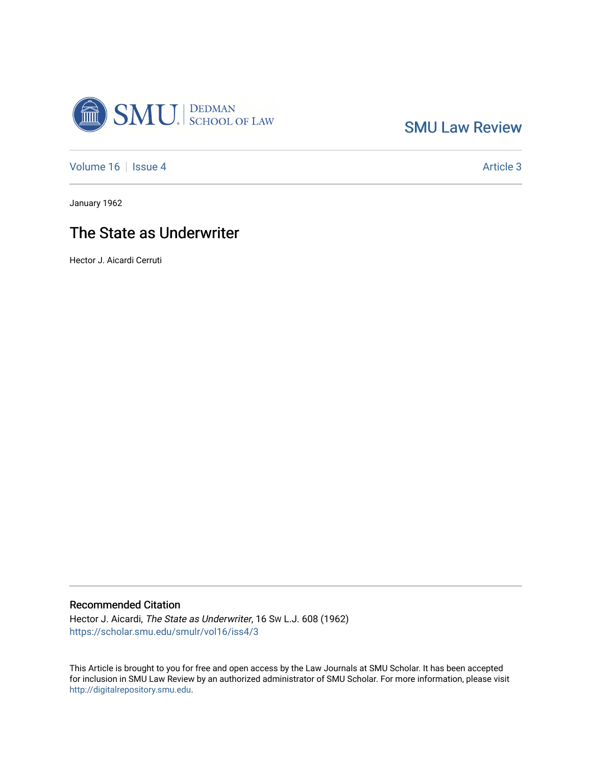

[SMU Law Review](https://scholar.smu.edu/smulr) 

[Volume 16](https://scholar.smu.edu/smulr/vol16) | [Issue 4](https://scholar.smu.edu/smulr/vol16/iss4) Article 3

January 1962

## The State as Underwriter

Hector J. Aicardi Cerruti

### Recommended Citation

Hector J. Aicardi, The State as Underwriter, 16 SW L.J. 608 (1962) [https://scholar.smu.edu/smulr/vol16/iss4/3](https://scholar.smu.edu/smulr/vol16/iss4/3?utm_source=scholar.smu.edu%2Fsmulr%2Fvol16%2Fiss4%2F3&utm_medium=PDF&utm_campaign=PDFCoverPages) 

This Article is brought to you for free and open access by the Law Journals at SMU Scholar. It has been accepted for inclusion in SMU Law Review by an authorized administrator of SMU Scholar. For more information, please visit [http://digitalrepository.smu.edu.](http://digitalrepository.smu.edu/)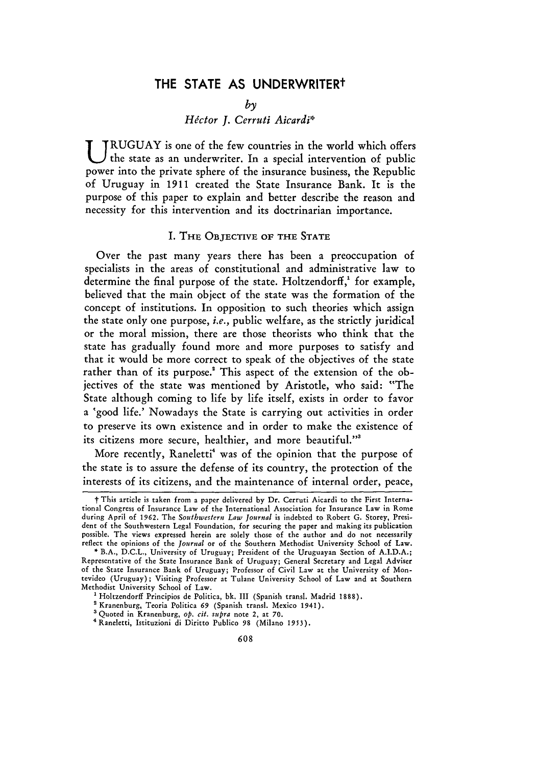## THE **STATE AS** UNDERWRITERt

*by*

#### *Hdctor J. Cerruti Aicardi\**

U **RUGUAY** is one of the few countries in the world which offers the state as an underwriter. In a special intervention of public power into the private sphere of the insurance business, the Republic of Uruguay in **1911** created the State Insurance Bank. It is the purpose of this paper to explain and better describe the reason and necessity for this intervention and its doctrinarian importance.

#### I. **THE OBJECTIVE** OF **THE STATE**

Over the past many years there has been a preoccupation of specialists in the areas of constitutional and administrative law to determine the final purpose of the state. Holtzendorff,<sup>1</sup> for example, believed that the main object of the state was the formation of the concept of institutions. In opposition to such theories which assign the state only one purpose, *i.e.,* public welfare, as the strictly juridical or the moral mission, there are those theorists who think that the state has gradually found more and more purposes to satisfy and that it would be more correct to speak of the objectives of the state rather than of its purpose.<sup>2</sup> This aspect of the extension of the objectives of the state was mentioned **by** Aristotle, who said: "The State although coming to life by life itself, exists in order to favor a 'good life.' Nowadays the State is carrying out activities in order to preserve its own existence and in order to make the existence of its citizens more secure, healthier, and more beautiful."'

More recently, Raneletti<sup>4</sup> was of the opinion that the purpose of the state is to assure the defense of its country, the protection of the interests of its citizens, and the maintenance of internal order, peace,

t This article is taken from a paper delivered by Dr. Cerruti Aicardi to the First International Congress of Insurance Law of the International Association for Insurance Law in Rome during April of 1962. The *Southwestern Law Journal* is indebted to Robert **G.** Storey, President of the Southwestern Legal Foundation, for securing the paper and making its publication possible. The views expressed herein are solely those of the author and do not necessarily reflect the opinions of the *Journal* or of the Southern Methodist University School of Law.

**<sup>\*</sup>** B.A., D.C.L., University of Uruguay; President of the Uruguayan Section of A.I.D.A.; Representative of the State Insurance Bank of Uruguay; General Secretary and Legal Adviser of the State Insurance Bank of Uruguay; Professor of Civil Law at the University of Montevideo (Uruguay); Visiting Professor at Tulane University School of Law and at Southern Methodist University School of Law.

<sup>&</sup>lt;sup>1</sup> Holtzendorff Principios de Politica, bk. III (Spanish transl. Madrid 1888).

Kranenburg, Teoria Politica **69** (Spanish transl. Mexico 1941).

**a** Quoted in Kranenburg, *op. cit. supra* note 2, at 70.

<sup>&#</sup>x27;Raneletti, Istituzioni di Diritto Publico **98** (Milano **1953).**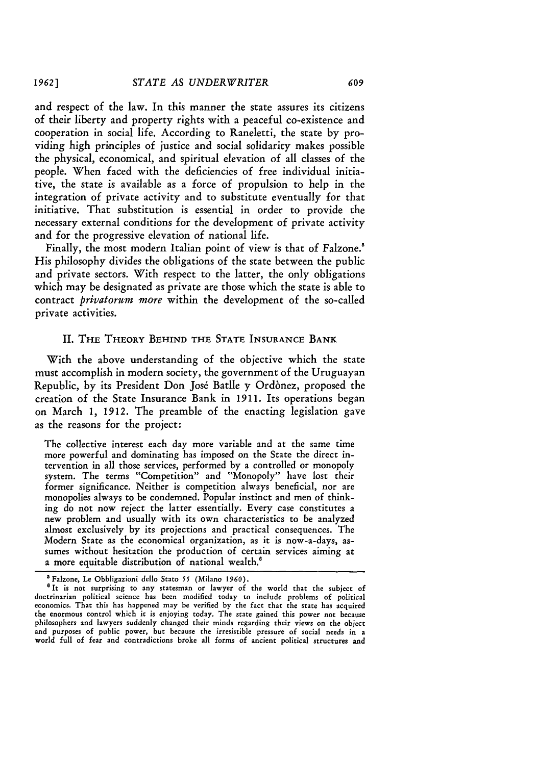and respect of the law. In this manner the state assures its citizens of their liberty and property rights with a peaceful co-existence and cooperation in social life. According to Raneletti, the state by providing high principles of justice and social solidarity makes possible the physical, economical, and spiritual elevation of all classes of the people. When faced with the deficiencies of free individual initiative, the state is available as a force of propulsion to help in the integration of private activity and to substitute eventually for that initiative. That substitution is essential in order to provide the necessary external conditions for the development of private activity and for the progressive elevation of national life.

Finally, the most modern Italian point of view is that of Falzone.<sup>5</sup> His philosophy divides the obligations of the state between the public and private sectors. With respect to the latter, the only obligations which may be designated as private are those which the state is able to contract *privatorum more* within the development of the so-called private activities.

#### II. THE THEORY BEHIND THE **STATE INSURANCE** BANK

With the above understanding of the objective which the state must accomplish in modern society, the government of the Uruguayan Republic, by its President Don José Batlle y Ordònez, proposed the creation of the State Insurance Bank in **1911.** Its operations began on March **1, 1912.** The preamble of the enacting legislation gave as the reasons for the project:

The collective interest each day more variable and at the same time more powerful and dominating has imposed on the State the direct intervention in all those services, performed by a controlled or monopoly system. The terms "Competition" and "Monopoly" have lost their former significance. Neither is competition always beneficial, nor are monopolies always to be condemned. Popular instinct and men of thinking do not now reject the latter essentially. Every case constitutes a new problem and usually with its own characteristics to be analyzed almost exclusively by its projections and practical consequences. The Modern State as the economical organization, as it is now-a-days, assumes without hesitation the production of certain services aiming at a more equitable distribution of national wealth.'

**<sup>&#</sup>x27;** Falzone, Le Obbligazioni dello Stato **55** (Milano *1960).* **6It** is not surprising to any statesman or lawyer of the world that the subject of doctrinarian political science has been modified today to include problems of political economics. That this has happened may be verified by the fact that the state has acquired the enormous control which it is enjoying today. The state gained this power not because philosophers and lawyers suddenly changed their minds regarding their views on the object and purposes of public power, but because the irresistible pressure of social needs in a world full of fear and contradictions broke all forms of ancient political structures and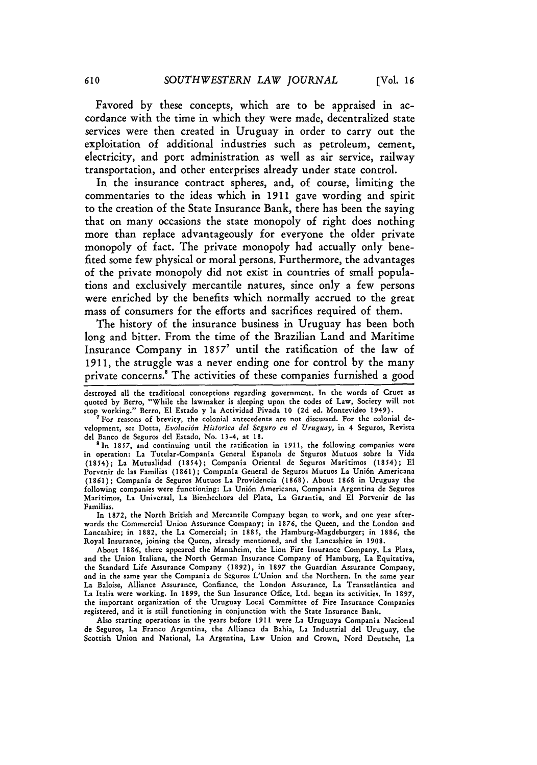Favored by these concepts, which are to be appraised in accordance with the time in which they were made, decentralized state services were then created in Uruguay in order to carry out the exploitation of additional industries such as petroleum, cement, electricity, and port administration as well as air service, railway transportation, and other enterprises already under state control.

In the insurance contract spheres, and, of course, limiting the commentaries to the ideas which in 1911 gave wording and spirit to the creation of the State Insurance Bank, there has been the saying that on many occasions the state monopoly of right does nothing more than replace advantageously for everyone the older private monopoly of fact. The private monopoly had actually only benefited some few physical or moral persons. Furthermore, the advantages of the private monopoly did not exist in countries of small populations and exclusively mercantile natures, since only a few persons were enriched by the benefits which normally accrued to the great mass of consumers for the efforts and sacrifices required of them.

The history of the insurance business in Uruguay has been both long and bitter. From the time of the Brazilian Land and Maritime Insurance Company in 1857<sup>7</sup> until the ratification of the law of 1911, the struggle was a never ending one for control by the many private concerns.<sup>8</sup> The activities of these companies furnished a good

For reasons of brevity, the colonial antecedents are not discussed. For the colonial development, see Dotta, *Evolucidn Historica del Seguro en el Uruguay,* in 4 Seguros, Revista del Banco de Seguros del Estado, No. 13-4, at 18.

<sup>8</sup> In 1857, and continuing until the ratification in 1911, the following companies were in operation: La Tutelar-Compania General Espanola de Seguros Mutuos sobre la Vida (1854); La Mutualidad (1854); Compania Oriental de Seguros Maritimos (1854); El Porvenir de las Familias (1861); Compania General de Seguros Mutuos La Uni6n Americana (1861); Compania de Seguros Mutuos La Providencia (1868). About 1868 in Uruguay the following companies were functioning: La Uni6n Americana, Compania Argentina de Seguros Maritimos, La Universal, La Bienhechora del Plata, La Garantia, and El Porvenir de las Familias.

In 1872, the North British and Mercantile Company began to work, and one year afterwards the Commercial Union Assurance Company; in 1876, the Queen, and the London and Lancashire; in 1882, the La Comercial; in 1885, the Hamburg-Magdeburger; in 1886, the Royal Insurance, joining the Queen, already mentioned, and the Lancashire in 1908.

About 1886, there appeared the Mannheim, the Lion Fire Insurance Company, La Plata, and the Union Italiana, the North German Insurance Company of Hamburg, La Equitativa, the Standard Life Assurance Company (1892), in 1897 the Guardian Assurance Company, and in the same year the Compania de Seguros L'Union and the Northern. In the same year La Baloise, Alliance Assurance, Confiance, the London Assurance, La Transatlintica and La Italia were working. In 1899, the Sun Insurance Office, Ltd. began its activities. In 1897, the important organization of the Uruguay Local Committee of Fire Insurance Companies registered, and it is still functioning in conjunction with the State Insurance Bank.

Also starting operations in the years before 1911 were La Uruguaya Compania Nacional de Seguros, La Franco Argentina, the Allianca da Bahia, La Industrial del Uruguay, the Scottish Union and National, La Argentina, Law Union and Crown, Nord Deutsche, La

destroyed all the traditional conceptions regarding government. In the words **of** Cruet as quoted **by** Berro, "While the lawmaker is sleeping upon the codes of Law, Society will not stop working." Berro, **El** Estado **y** la Actividad Pivada **10 (2d** ed. Montevideo 1949).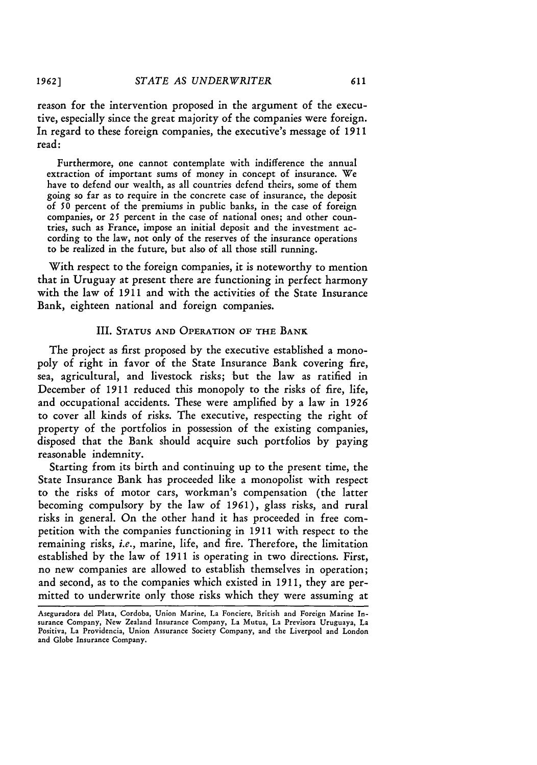reason for the intervention proposed in the argument of the executive, especially since the great majority of the companies were foreign. In regard to these foreign companies, the executive's message of **1911** read:

Furthermore, one cannot contemplate with indifference the annual extraction of important sums of money in concept of insurance. We have to defend our wealth, as all countries defend theirs, some of them going so far as to require in the concrete case of insurance, the deposit of 50 percent of the premiums in public banks, in the case of foreign companies, or *25* percent in the case of national ones; and other countries, such as France, impose an initial deposit and the investment according to the law, not only of the reserves of the insurance operations to be realized in the future, but also of all those still running.

With respect to the foreign companies, it is noteworthy to mention that in Uruguay at present there are functioning in perfect harmony with the law of **1911** and with the activities of the State Insurance Bank, eighteen national and foreign companies.

#### III. **STATUS AND** OPERATION OF THE BANK

The project as first proposed by the executive established a monopoly of right in favor of the State Insurance Bank covering fire, sea, agricultural, and livestock risks; but the law as ratified in December of **1911** reduced this monopoly to the risks of fire, life, and occupational accidents. These were amplified by a law in *1926* to cover all kinds of risks. The executive, respecting the right of property of the portfolios in possession of the existing companies, disposed that the Bank should acquire such portfolios by paying reasonable indemnity.

Starting from its birth and continuing up to the present time, the State Insurance Bank has proceeded like a monopolist with respect to the risks of motor cars, workman's compensation (the latter becoming compulsory by the law of 1961), glass risks, and rural risks in general. On the other hand it has proceeded in free competition with the companies functioning in **1911** with respect to the remaining risks, *i.e.,* marine, life, and fire. Therefore, the limitation established by the law of **1911** is operating in two directions. First, no new companies are allowed to establish themselves in operation; and second, as to the companies which existed in **1911,** they are permitted to underwrite only those risks which they were assuming at

Aseguradora del Plata, Cordoba, Union Marine, La Fonciere, British and Foreign Marine Insurance Company, New Zealand Insurance Company, La Mutua, La Previsora Uruguaya, La Positiva, La Providencia, Union Assurance Society Company, and the Liverpool and London and Globe Insurance Company.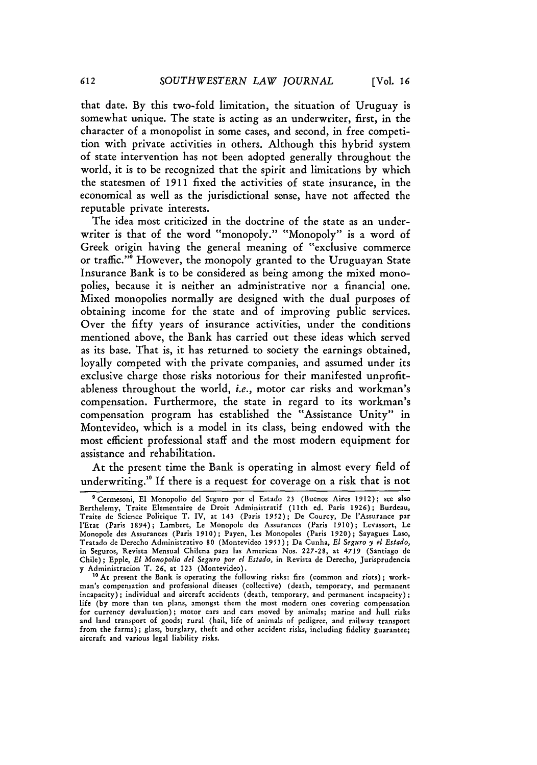that date. By this two-fold limitation, the situation of Uruguay is somewhat unique. The state is acting as an underwriter, first, in the character of a monopolist in some cases, and second, in free competition with private activities in others. Although this hybrid system of state intervention has not been adopted generally throughout the world, it is to be recognized that the spirit and limitations by which the statesmen of **1911** fixed the activities of state insurance, in the economical as well as the jurisdictional sense, have not affected the reputable private interests.

The idea most criticized in the doctrine of the state as an underwriter is that of the word "monopoly." "Monopoly" is a word of Greek origin having the general meaning of "exclusive commerce or traffic."<sup>9</sup> However, the monopoly granted to the Uruguayan State Insurance Bank is to be considered as being among the mixed monopolies, because it is neither an administrative nor a financial one. Mixed monopolies normally are designed with the dual purposes of obtaining income for the state and of improving public services. Over the fifty years of insurance activities, under the conditions mentioned above, the Bank has carried out these ideas which served as its base. That is, it has returned to society the earnings obtained, loyally competed with the private companies, and assumed under its exclusive charge those risks notorious for their manifested unprofitableness throughout the world, i.e., motor car risks and workman's compensation. Furthermore, the state in regard to its workman's compensation program has established the "Assistance Unity" in Montevideo, which is a model in its class, being endowed with the most efficient professional staff and the most modern equipment for assistance and rehabilitation.

At the present time the Bank is operating in almost every field of underwriting." **If** there is a request for coverage on a risk that is not

<sup>&#</sup>x27;Cermesoni, El Monopolio del Seguro por el Estado 23 (Buenos Aires **1912);** see also Berthelemy, Traite Elementaire de Droit Administratif (11th ed. Paris 1926); Burdeau, Traite de Science Politique T. IV, at **143** (Paris **1952); De** Courcy, De l'Assurance par l'Etat (Paris 1894); Lambert, Le Monopole des Assurances (Paris **1910);** Levassort, Le Monopole des Assurances (Paris 1910); Payen, Les Monopoles (Paris 1920); Sayagues Laso, Tratado de Derecho Administrativo 80 (Montevideo **1953);** Da Cunha, *El Seguro y el Estado,* in Seguros, Revista Mensual Chilena para las Americas Nos. 227-28, at 4719 (Santiago de Chile); Epple, *El Monopolio del Seguro por el Estado,* in Revista de Derecho, Jurisprudencia y Administracion T. **26,** at 123 (Montevideo).

**<sup>10</sup>** At present the Bank is operating the following risks: fire (common and riots); workman's compensation and professional diseases (collective) (death, temporary, and permanent incapacity) **;** individual and aircraft accidents (death, temporary, and permanent incapacity); life (by more than ten plans, amongst them the most modern ones covering compensation for currency devaluation) **;** motor cars and cars moved by animals; marine and hull risks and land transport of goods; rural (hail, life of animals of pedigree, and railway transport from the farms) **;** glass, burglary, theft and other accident risks, including fidelity guarantee; aircraft and various legal liability risks.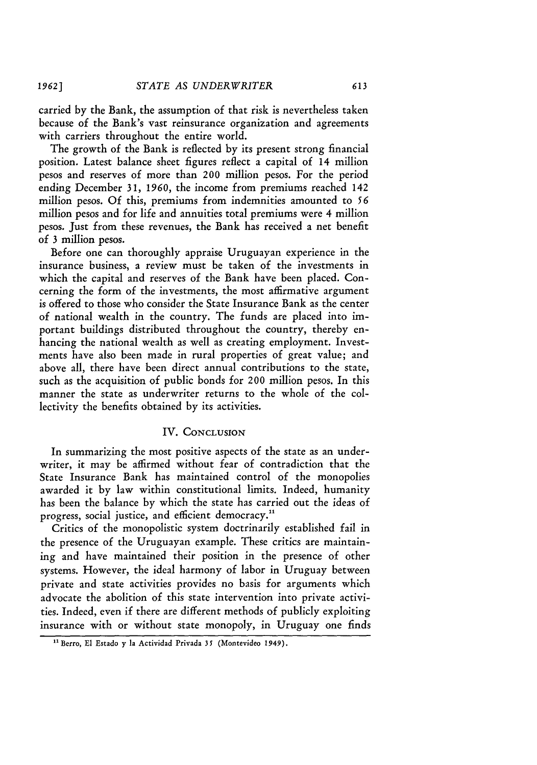carried by the Bank, the assumption of that risk is nevertheless taken because of the Bank's vast reinsurance organization and agreements with carriers throughout the entire world.

The growth of the Bank is reflected by its present strong financial position. Latest balance sheet figures reflect a capital of 14 million pesos and reserves of more than 200 million pesos. For the period ending December 31, *1960,* the income from premiums reached 142 million pesos. Of this, premiums from indemnities amounted to *56* million pesos and for life and annuities total premiums were 4 million pesos. Just from these revenues, the Bank has received a net benefit of 3 million pesos.

Before one can thoroughly appraise Uruguayan experience in the insurance business, a review must be taken of the investments in which the capital and reserves of the Bank have been placed. Concerning the form of the investments, the most affirmative argument is offered to those who consider the State Insurance Bank as the center of national wealth in the country. The funds are placed into important buildings distributed throughout the country, thereby enhancing the national wealth as well as creating employment. Investments have also been made in rural properties of great value; and above all, there have been direct annual contributions to the state, such as the acquisition of public bonds for 200 million pesos. In this manner the state as underwriter returns to the whole of the collectivity the benefits obtained by its activities.

#### IV. CONCLUSION

In summarizing the most positive aspects of the state as an underwriter, it may be affirmed without fear of contradiction that the State Insurance Bank has maintained control of the monopolies awarded it **by** law within constitutional limits. Indeed, humanity has been the balance **by** which the state has carried out the ideas of progress, social justice, and efficient democracy."

Critics of the monopolistic system doctrinarily established fail in the presence of the Uruguayan example. These critics are maintaining and have maintained their position in the presence of other systems. However, the ideal harmony of labor in Uruguay between private and state activities provides no basis for arguments which advocate the abolition of this state intervention into private activities. Indeed, even if there are different methods of publicly exploiting insurance with or without state monopoly, in Uruguay one finds

**<sup>&</sup>quot;** Berro, El Estado **y** la Actividad Privada **35** (Montevideo 1949).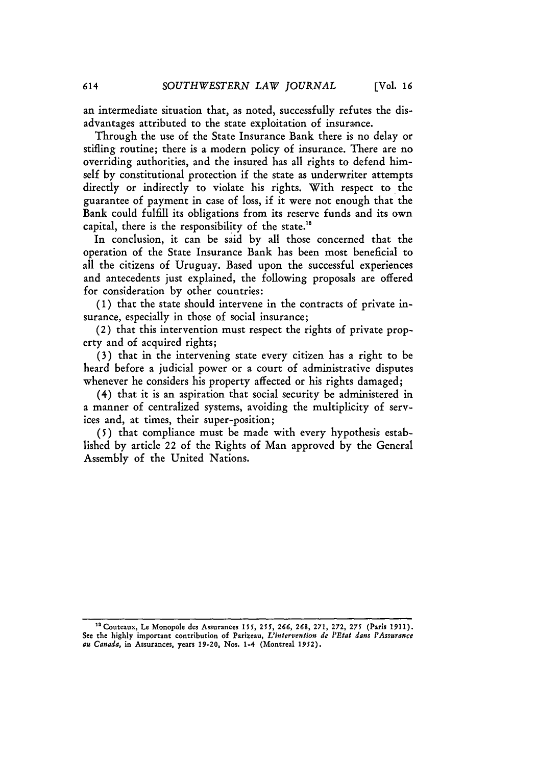an intermediate situation that, as noted, successfully refutes the disadvantages attributed to the state exploitation of insurance.

Through the use of the State Insurance Bank there is no delay or stifling routine; there is a modern policy of insurance. There are no overriding authorities, and the insured has all rights to defend himself by constitutional protection if the state as underwriter attempts directly or indirectly to violate his rights. With respect to the guarantee of payment in case of loss, if it were not enough that the Bank could fulfill its obligations from its reserve funds and its own capital, there is the responsibility of the state.<sup>12</sup>

In conclusion, it can be said by all those concerned that the operation of the State Insurance Bank has been most beneficial to all the citizens of Uruguay. Based upon the successful experiences and antecedents just explained, the following proposals are offered for consideration by other countries:

**(1)** that the state should intervene in the contracts of private insurance, especially in those of social insurance;

(2) that this intervention must respect the rights of private property and of acquired rights;

(3) that in the intervening state every citizen has a right to be heard before a judicial power or a court of administrative disputes whenever he considers his property affected or his rights damaged;

(4) that it is an aspiration that social security be administered in a manner of centralized systems, avoiding the multiplicity of services and, at times, their super-position;

(5) that compliance must be made with every hypothesis established by article 22 of the Rights of Man approved by the General Assembly of the United Nations.

**<sup>&</sup>quot;Couteaux, Le Monopole des Assurances** *155,* **255,** *266, 268,* **271, 272,** *275* **(Paris 1911). See the highly** important **contribution of Parizeau,** *L'intervention de 'Eta dans l'Assurance au Canada,* in Assurances, **years 19-20, Nos. 1-4** (Montreal **1952).**